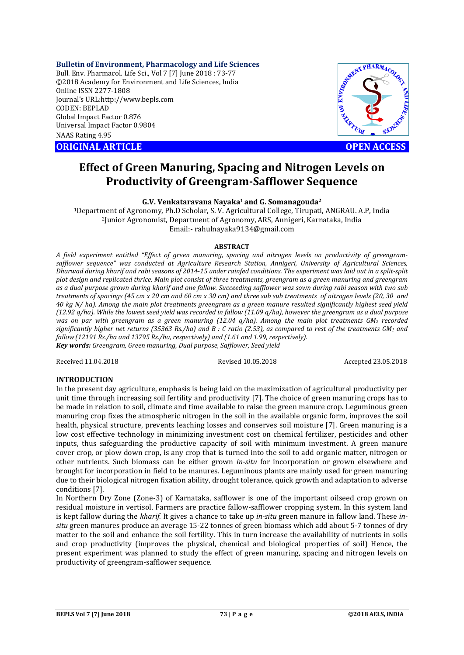## **Bulletin of Environment, Pharmacology and Life Sciences**

Bull. Env. Pharmacol. Life Sci., Vol 7 [7] June 2018 : 73-77 ©2018 Academy for Environment and Life Sciences, India Online ISSN 2277-1808 Journal's URL:http://www.bepls.com CODEN: BEPLAD Global Impact Factor 0.876 Universal Impact Factor 0.9804 NAAS Rating 4.95 CONTRACT CONSISTED AND RETURN ARTICLE **OPEN ACCESS** 



# **Effect of Green Manuring, Spacing and Nitrogen Levels on Productivity of Greengram-Safflower Sequence**

**G.V. Venkataravana Nayaka1 and G. Somanagouda2**

1Department of Agronomy, Ph.D Scholar, S. V. Agricultural College, Tirupati, ANGRAU. A.P, India 2Junior Agronomist, Department of Agronomy, ARS, Annigeri, Karnataka, India Email:- rahulnayaka9134@gmail.com

## **ABSTRACT**

*A field experiment entitled "Effect of green manuring, spacing and nitrogen levels on productivity of greengramsafflower sequence" was conducted at Agriculture Research Station, Annigeri, University of Agricultural Sciences, Dharwad during kharif and rabi seasons of 2014-15 under rainfed conditions. The experiment was laid out in a split-split plot design and replicated thrice. Main plot consist of three treatments, greengram as a green manuring and greengram as a dual purpose grown during kharif and one fallow. Succeeding safflower was sown during rabi season with two sub treatments of spacings (45 cm x 20 cm and 60 cm x 30 cm) and three sub sub treatments of nitrogen levels (20, 30 and 40 kg N/ ha). Among the main plot treatments greengram as a green manure resulted significantly highest seed yield (12.92 q/ha). While the lowest seed yield was recorded in fallow (11.09 q/ha), however the greengram as a dual purpose was on par with greengram as a green manuring (12.04 q/ha). Among the main plot treatments GM2 recorded significantly higher net returns (35363 Rs./ha) and B : C ratio (2.53), as compared to rest of the treatments GM1 and fallow (12191 Rs./ha and 13795 Rs./ha, respectively) and (1.61 and 1.99, respectively). Key words: Greengram, Green manuring, Dual purpose, Safflower, Seed yield* 

Received 11.04.2018 Revised 10.05.2018 Accepted 23.05.2018

## **INTRODUCTION**

In the present day agriculture, emphasis is being laid on the maximization of agricultural productivity per unit time through increasing soil fertility and productivity [7]. The choice of green manuring crops has to be made in relation to soil, climate and time available to raise the green manure crop. Leguminous green manuring crop fixes the atmospheric nitrogen in the soil in the available organic form, improves the soil health, physical structure, prevents leaching losses and conserves soil moisture [7]. Green manuring is a low cost effective technology in minimizing investment cost on chemical fertilizer, pesticides and other inputs, thus safeguarding the productive capacity of soil with minimum investment. A green manure cover crop, or plow down crop, is any crop that is turned into the soil to add organic matter, nitrogen or other nutrients. Such biomass can be either grown *in-situ* for incorporation or grown elsewhere and brought for incorporation in field to be manures. Leguminous plants are mainly used for green manuring due to their biological nitrogen fixation ability, drought tolerance, quick growth and adaptation to adverse conditions [7].

In Northern Dry Zone (Zone-3) of Karnataka, safflower is one of the important oilseed crop grown on residual moisture in vertisol. Farmers are practice fallow-safflower cropping system. In this system land is kept fallow during the *kharif.* It gives a chance to take up *in-situ* green manure in fallow land. These *insitu* green manures produce an average 15-22 tonnes of green biomass which add about 5-7 tonnes of dry matter to the soil and enhance the soil fertility. This in turn increase the availability of nutrients in soils and crop productivity (improves the physical, chemical and biological properties of soil) Hence, the present experiment was planned to study the effect of green manuring, spacing and nitrogen levels on productivity of greengram-safflower sequence.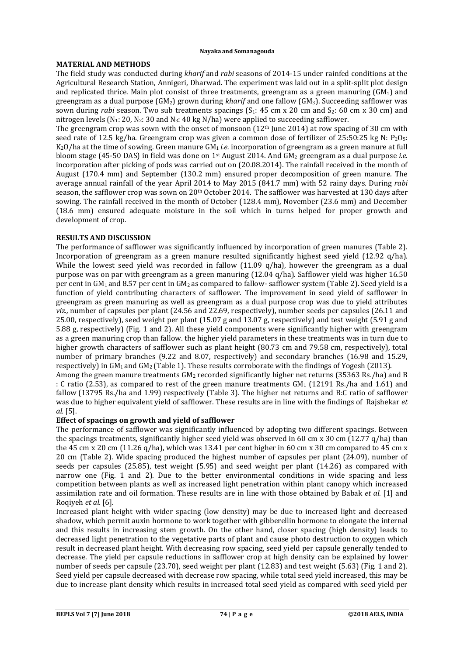## **MATERIAL AND METHODS**

The field study was conducted during *kharif* and *rabi* seasons of 2014-15 under rainfed conditions at the Agricultural Research Station, Annigeri, Dharwad. The experiment was laid out in a split-split plot design and replicated thrice. Main plot consist of three treatments, greengram as a green manuring  $(GM_1)$  and greengram as a dual purpose (GM2) grown during *kharif* and one fallow (GM3). Succeeding safflower was sown during *rabi* season. Two sub treatments spacings (S<sub>1</sub>: 45 cm x 20 cm and S<sub>2</sub>: 60 cm x 30 cm) and nitrogen levels ( $N_1: 20, N_2: 30$  and  $N_3: 40$  kg N/ha) were applied to succeeding safflower.

The greengram crop was sown with the onset of monsoon  $(12<sup>th</sup>$  June 2014) at row spacing of 30 cm with seed rate of 12.5 kg/ha. Greengram crop was given a common dose of fertilizer of 25:50:25 kg N:  $P_2O_5$ : K<sub>2</sub>O/ha at the time of sowing. Green manure GM<sub>1</sub> *i.e.* incorporation of greengram as a green manure at full bloom stage (45-50 DAS) in field was done on 1st August 2014. And GM2 greengram as a dual purpose *i.e.* incorporation after picking of pods was carried out on (20.08.2014). The rainfall received in the month of August (170.4 mm) and September (130.2 mm) ensured proper decomposition of green manure. The average annual rainfall of the year April 2014 to May 2015 (841.7 mm) with 52 rainy days. During *rabi*  season, the safflower crop was sown on 20<sup>th</sup> October 2014. The safflower was harvested at 130 days after sowing. The rainfall received in the month of October (128.4 mm), November (23.6 mm) and December (18.6 mm) ensured adequate moisture in the soil which in turns helped for proper growth and development of crop.

## **RESULTS AND DISCUSSION**

The performance of safflower was significantly influenced by incorporation of green manures (Table 2). Incorporation of greengram as a green manure resulted significantly highest seed yield (12.92 q/ha). While the lowest seed yield was recorded in fallow (11.09 q/ha), however the greengram as a dual purpose was on par with greengram as a green manuring (12.04 q/ha). Safflower yield was higher 16.50 per cent in  $GM_1$  and 8.57 per cent in  $GM_2$  as compared to fallow- safflower system (Table 2). Seed yield is a function of yield contributing characters of safflower. The improvement in seed yield of safflower in greengram as green manuring as well as greengram as a dual purpose crop was due to yield attributes *viz.,* number of capsules per plant (24.56 and 22.69, respectively), number seeds per capsules (26.11 and 25.00, respectively), seed weight per plant (15.07 g and 13.07 g, respectively) and test weight (5.91 g and 5.88 g, respectively) (Fig. 1 and 2). All these yield components were significantly higher with greengram as a green manuring crop than fallow. the higher yield parameters in these treatments was in turn due to higher growth characters of safflower such as plant height (80.73 cm and 79.58 cm, respectively), total number of primary branches (9.22 and 8.07, respectively) and secondary branches (16.98 and 15.29, respectively) in  $GM_1$  and  $GM_2$  (Table 1). These results corroborate with the findings of Yogesh (2013). Among the green manure treatments  $GM<sub>2</sub>$  recorded significantly higher net returns (35363 Rs./ha) and B

: C ratio (2.53), as compared to rest of the green manure treatments  $GM_1$  (12191 Rs./ha and 1.61) and fallow (13795 Rs./ha and 1.99) respectively (Table 3). The higher net returns and B:C ratio of safflower was due to higher equivalent yield of safflower. These results are in line with the findings of Rajshekar *et al.* [5].

## **Effect of spacings on growth and yield of safflower**

The performance of safflower was significantly influenced by adopting two different spacings. Between the spacings treatments, significantly higher seed yield was observed in 60 cm x 30 cm (12.77 q/ha) than the 45 cm x 20 cm (11.26 q/ha), which was 13.41 per cent higher in 60 cm x 30 cm compared to 45 cm x 20 cm (Table 2). Wide spacing produced the highest number of capsules per plant (24.09), number of seeds per capsules (25.85), test weight (5.95) and seed weight per plant (14.26) as compared with narrow one (Fig. 1 and 2). Due to the better environmental conditions in wide spacing and less competition between plants as well as increased light penetration within plant canopy which increased assimilation rate and oil formation. These results are in line with those obtained by Babak *et al.* [1] and Roqiyeh *et al.* [6].

Increased plant height with wider spacing (low density) may be due to increased light and decreased shadow, which permit auxin hormone to work together with gibberellin hormone to elongate the internal and this results in increasing stem growth. On the other hand, closer spacing (high density) leads to decreased light penetration to the vegetative parts of plant and cause photo destruction to oxygen which result in decreased plant height. With decreasing row spacing, seed yield per capsule generally tended to decrease. The yield per capsule reductions in safflower crop at high density can be explained by lower number of seeds per capsule (23.70), seed weight per plant (12.83) and test weight (5.63) (Fig. 1 and 2). Seed yield per capsule decreased with decrease row spacing, while total seed yield increased, this may be due to increase plant density which results in increased total seed yield as compared with seed yield per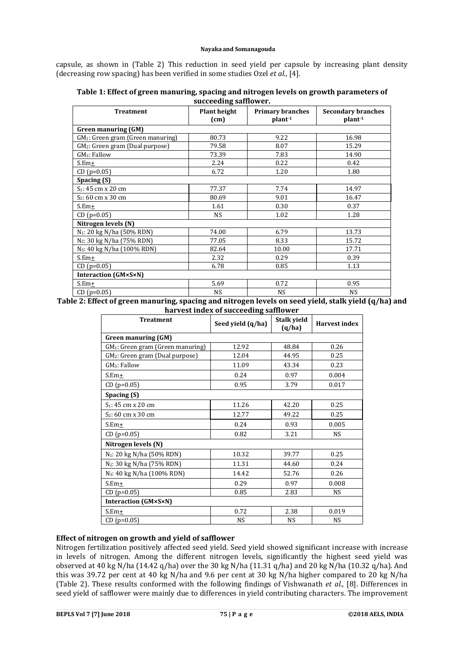capsule, as shown in (Table 2) This reduction in seed yield per capsule by increasing plant density (decreasing row spacing) has been verified in some studies Ozel *et al.*, [4].

| <b>Treatment</b>                              | <b>Plant height</b><br>(cm) | <b>Primary branches</b><br>plant <sup>-1</sup> | <b>Secondary branches</b><br>plant <sup>-1</sup> |  |  |  |
|-----------------------------------------------|-----------------------------|------------------------------------------------|--------------------------------------------------|--|--|--|
| <b>Green manuring (GM)</b>                    |                             |                                                |                                                  |  |  |  |
| GM <sub>1</sub> : Green gram (Green manuring) | 80.73                       | 9.22                                           | 16.98                                            |  |  |  |
| GM <sub>2</sub> : Green gram (Dual purpose)   | 79.58                       | 8.07                                           | 15.29                                            |  |  |  |
| GM <sub>3</sub> : Fallow                      | 73.39                       | 7.83                                           | 14.90                                            |  |  |  |
| $S.Em+$                                       | 2.24                        | 0.22                                           | 0.42                                             |  |  |  |
| $CD (p=0.05)$                                 | 6.72                        | 1.20                                           | 1.80                                             |  |  |  |
| Spacing (S)                                   |                             |                                                |                                                  |  |  |  |
| S <sub>1</sub> : 45 cm x 20 cm                | 77.37                       | 7.74                                           | 14.97                                            |  |  |  |
| S <sub>2</sub> : 60 cm x 30 cm                | 80.69                       | 9.01                                           | 16.47                                            |  |  |  |
| $S.Em+$                                       | 1.61                        | 0.30                                           | 0.37                                             |  |  |  |
| $CD (p=0.05)$                                 | <b>NS</b>                   | 1.02                                           | 1.28                                             |  |  |  |
| Nitrogen levels (N)                           |                             |                                                |                                                  |  |  |  |
| N <sub>1</sub> : 20 kg N/ha (50% RDN)         | 74.00                       | 6.79                                           | 13.73                                            |  |  |  |
| N <sub>2</sub> : 30 kg N/ha (75% RDN)         | 77.05                       | 8.33                                           | 15.72                                            |  |  |  |
| N <sub>3</sub> : 40 kg N/ha (100% RDN)        | 82.64                       | 10.00                                          | 17.71                                            |  |  |  |
| $S.Em+$                                       | 2.32                        | 0.29                                           | 0.39                                             |  |  |  |
| $CD (p=0.05)$                                 | 6.78                        | 0.85                                           | 1.13                                             |  |  |  |
| <b>Interaction (GM×S×N)</b>                   |                             |                                                |                                                  |  |  |  |
| $S.Em+$                                       | 5.69                        | 0.72                                           | 0.95                                             |  |  |  |
| $CD (p=0.05)$                                 | <b>NS</b>                   | <b>NS</b>                                      | <b>NS</b>                                        |  |  |  |

| Table 1: Effect of green manuring, spacing and nitrogen levels on growth parameters of |
|----------------------------------------------------------------------------------------|
| succeeding safflower.                                                                  |

## **Table 2: Effect of green manuring, spacing and nitrogen levels on seed yield, stalk yield (q/ha) and harvest index of succeeding safflower**

| <b>Treatment</b>                              | Seed yield (q/ha) | Stalk yield<br>(q/ha) | <b>Harvest index</b> |  |  |
|-----------------------------------------------|-------------------|-----------------------|----------------------|--|--|
| <b>Green manuring (GM)</b>                    |                   |                       |                      |  |  |
| GM <sub>1</sub> : Green gram (Green manuring) | 12.92             | 48.84                 | 0.26                 |  |  |
| GM <sub>2</sub> : Green gram (Dual purpose)   | 12.04             | 44.95                 | 0.25                 |  |  |
| $GM3$ : Fallow                                | 11.09             | 43.34                 | 0.23                 |  |  |
| $S.Em+$                                       | 0.24              | 0.97                  | 0.004                |  |  |
| $CD (p=0.05)$                                 | 0.95              | 3.79                  | 0.017                |  |  |
| Spacing (S)                                   |                   |                       |                      |  |  |
| $S_1$ : 45 cm x 20 cm                         | 11.26             | 42.20                 | 0.25                 |  |  |
| S <sub>2</sub> : 60 cm x 30 cm                | 12.77             | 49.22                 | 0.25                 |  |  |
| $S.Em+$                                       | 0.24              | 0.93                  | 0.005                |  |  |
| $CD (p=0.05)$                                 | 0.82              | 3.21                  | <b>NS</b>            |  |  |
| Nitrogen levels (N)                           |                   |                       |                      |  |  |
| N <sub>1</sub> : 20 kg N/ha (50% RDN)         | 10.32             | 39.77                 | 0.25                 |  |  |
| N <sub>2</sub> : 30 kg N/ha (75% RDN)         | 11.31             | 44.60                 | 0.24                 |  |  |
| N <sub>3</sub> : 40 kg N/ha (100% RDN)        | 14.42             | 52.76                 | 0.26                 |  |  |
| $S.Em+$                                       | 0.29              | 0.97                  | 0.008                |  |  |
| $CD (p=0.05)$                                 | 0.85              | 2.83                  | <b>NS</b>            |  |  |
| <b>Interaction (GM×S×N)</b>                   |                   |                       |                      |  |  |
| $S.Em+$                                       | 0.72              | 2.38                  | 0.019                |  |  |
| $CD (p=0.05)$                                 | <b>NS</b>         | <b>NS</b>             | <b>NS</b>            |  |  |

## **Effect of nitrogen on growth and yield of safflower**

Nitrogen fertilization positively affected seed yield. Seed yield showed significant increase with increase in levels of nitrogen. Among the different nitrogen levels, significantly the highest seed yield was observed at 40 kg N/ha (14.42 q/ha) over the 30 kg N/ha (11.31 q/ha) and 20 kg N/ha (10.32 q/ha). And this was 39.72 per cent at 40 kg N/ha and 9.6 per cent at 30 kg N/ha higher compared to 20 kg N/ha (Table 2). These results conformed with the following findings of Vishwanath *et al.*, [8]. Differences in seed yield of safflower were mainly due to differences in yield contributing characters. The improvement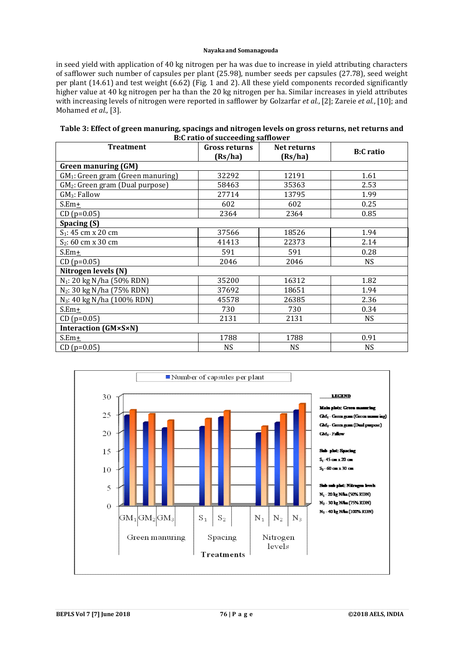in seed yield with application of 40 kg nitrogen per ha was due to increase in yield attributing characters of safflower such number of capsules per plant (25.98), number seeds per capsules (27.78), seed weight per plant (14.61) and test weight (6.62) (Fig. 1 and 2). All these yield components recorded significantly higher value at 40 kg nitrogen per ha than the 20 kg nitrogen per ha. Similar increases in yield attributes with increasing levels of nitrogen were reported in safflower by Golzarfar *et al.*, [2]; Zareie *et al.*, [10]; and Mohamed *et al.*, [3].

| Table 3: Effect of green manuring, spacings and nitrogen levels on gross returns, net returns and |
|---------------------------------------------------------------------------------------------------|
| B:C ratio of succeeding safflower                                                                 |

| <b>Treatment</b>                              | $\bullet$ –<br><b>Gross returns</b><br>(Rs/ha) | Net returns<br>(Rs/ha) | <b>B:C</b> ratio |  |  |
|-----------------------------------------------|------------------------------------------------|------------------------|------------------|--|--|
| <b>Green manuring (GM)</b>                    |                                                |                        |                  |  |  |
| GM <sub>1</sub> : Green gram (Green manuring) | 32292                                          | 12191                  | 1.61             |  |  |
| GM <sub>2</sub> : Green gram (Dual purpose)   | 58463                                          | 35363                  | 2.53             |  |  |
| $GM3:$ Fallow                                 | 27714                                          | 13795                  | 1.99             |  |  |
| S.Em+                                         | 602                                            | 602                    | 0.25             |  |  |
| $CD (p=0.05)$                                 | 2364                                           | 2364                   | 0.85             |  |  |
| Spacing (S)                                   |                                                |                        |                  |  |  |
| S <sub>1</sub> : 45 cm x 20 cm                | 37566                                          | 18526                  | 1.94             |  |  |
| $S_2$ : 60 cm x 30 cm                         | 41413                                          | 22373                  | 2.14             |  |  |
| $S.Em+$                                       | 591                                            | 591                    | 0.28             |  |  |
| $CD (p=0.05)$                                 | 2046                                           | 2046                   | NS.              |  |  |
| Nitrogen levels (N)                           |                                                |                        |                  |  |  |
| N <sub>1</sub> : 20 kg N/ha (50% RDN)         | 35200                                          | 16312                  | 1.82             |  |  |
| $N_2$ : 30 kg N/ha (75% RDN)                  | 37692                                          | 18651                  | 1.94             |  |  |
| N <sub>3</sub> : 40 kg N/ha (100% RDN)        | 45578                                          | 26385                  | 2.36             |  |  |
| $S.Em+$                                       | 730                                            | 730                    | 0.34             |  |  |
| $CD (p=0.05)$                                 | 2131                                           | 2131                   | NS               |  |  |
| <b>Interaction (GM×S×N)</b>                   |                                                |                        |                  |  |  |
| $S.Em+$                                       | 1788                                           | 1788                   | 0.91             |  |  |
| $CD (p=0.05)$                                 | NS.                                            | <b>NS</b>              | <b>NS</b>        |  |  |